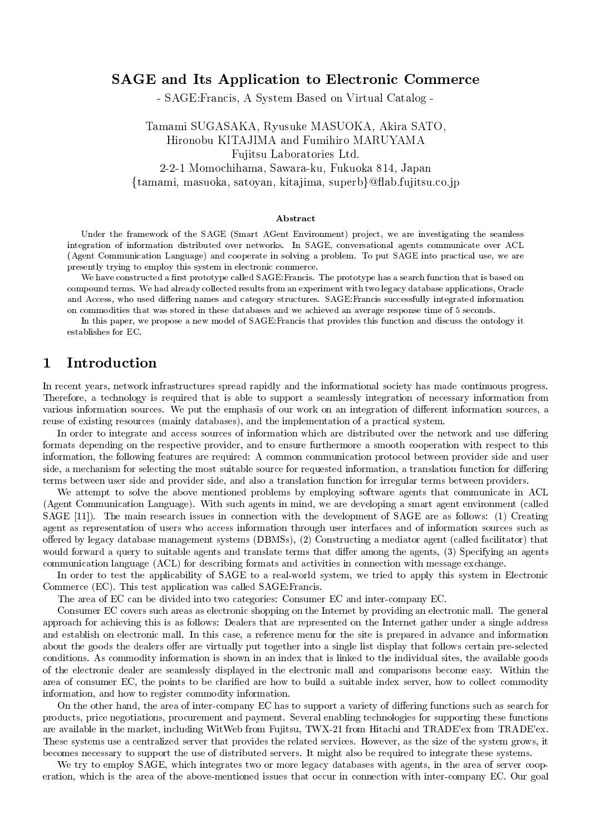## **SAGE** and Its Application to Electronic Commerce

- SAGE: Francis, A System Based on Virtual Catalog -

Tamami SUGASAKA, Ryusuke MASUOKA, Akira SATO, Hironobu KITAJIMA and Fumihiro MARUYAMA Fujitsu Laboratories Ltd. 2-2-1 Momochihama, Sawara-ku, Fukuoka 814, Japan {tamami, masuoka, satoyan, kitajima, superb}@flab.fujitsu.co.jp

### Abstract

Under the framework of the SAGE (Smart AGent Environment) project, we are investigating the seamless integration of information distributed over networks. In SAGE, conversational agents communicate over ACL (Agent Communication Language) and cooperate in solving a problem. To put SAGE into practical use, we are presently trying to employ this system in electronic commerce.

We have constructed a first prototype called SAGE: Francis. The prototype has a search function that is based on compound terms. We had already collected results from an experiment with two legacy database applications, Oracle and Access, who used differing names and category structures. SAGE: Francis successfully integrated information on commodities that was stored in these databases and we achieved an average response time of 5 seconds.

In this paper, we propose a new model of SAGE: Francis that provides this function and discuss the ontology it establishes for EC.

### Introduction  $\mathbf{1}$

In recent years, network infrastructures spread rapidly and the informational society has made continuous progress. Therefore, a technology is required that is able to support a seamlessly integration of necessary information from various information sources. We put the emphasis of our work on an integration of different information sources, a reuse of existing resources (mainly databases), and the implementation of a practical system.

In order to integrate and access sources of information which are distributed over the network and use differing formats depending on the respective provider, and to ensure furthermore a smooth cooperation with respect to this information, the following features are required: A common communication protocol between provider side and user side, a mechanism for selecting the most suitable source for requested information, a translation function for differing terms between user side and provider side, and also a translation function for irregular terms between providers.

We attempt to solve the above mentioned problems by employing software agents that communicate in ACL (Agent Communication Language). With such agents in mind, we are developing a smart agent environment (called SAGE [11]). The main research issues in connection with the development of SAGE are as follows: (1) Creating agent as representation of users who access information through user interfaces and of information sources such as offered by legacy database management systems (DBMSs), (2) Constructing a mediator agent (called facilitator) that would forward a query to suitable agents and translate terms that differ among the agents, (3) Specifying an agents communication language (ACL) for describing formats and activities in connection with message exchange.

In order to test the applicability of SAGE to a real-world system, we tried to apply this system in Electronic Commerce (EC). This test application was called SAGE: Francis.

The area of EC can be divided into two categories: Consumer EC and inter-company EC.

Consumer EC covers such areas as electronic shopping on the Internet by providing an electronic mall. The general approach for achieving this is as follows: Dealers that are represented on the Internet gather under a single address and establish on electronic mall. In this case, a reference menu for the site is prepared in advance and information about the goods the dealers offer are virtually put together into a single list display that follows certain pre-selected conditions. As commodity information is shown in an index that is linked to the individual sites, the available goods of the electronic dealer are seamlessly displayed in the electronic mall and comparisons become easy. Within the area of consumer EC, the points to be clarified are how to build a suitable index server, how to collect commodity information, and how to register commodity information.

On the other hand, the area of inter-company EC has to support a variety of differing functions such as search for products, price negotiations, procurement and payment. Several enabling technologies for supporting these functions are available in the market, including WitWeb from Fujitsu, TWX-21 from Hitachi and TRADE'ex from TRADE'ex. These systems use a centralized server that provides the related services. However, as the size of the system grows, it becomes necessary to support the use of distributed servers. It might also be required to integrate these systems.

We try to employ SAGE, which integrates two or more legacy databases with agents, in the area of server cooperation, which is the area of the above-mentioned issues that occur in connection with inter-company EC. Our goal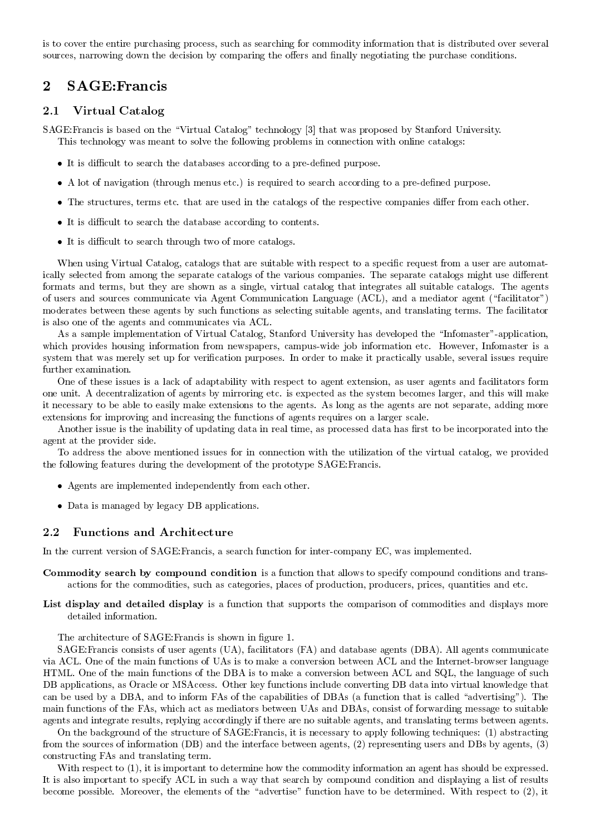is to cover the entire purchasing process, such as searching for commodity information that is distributed over several sources, narrowing down the decision by comparing the offers and finally negotiating the purchase conditions.

### **SAGE:Francis**  $\overline{2}$

#### $2.1\,$ Virtual Catalog

SAGE: Francis is based on the "Virtual Catalog" technology [3] that was proposed by Stanford University. This technology was meant to solve the following problems in connection with online catalogs:

- It is difficult to search the databases according to a pre-defined purpose.
- A lot of navigation (through menus etc.) is required to search according to a pre-defined purpose.
- The structures, terms etc. that are used in the catalogs of the respective companies differ from each other.
- It is difficult to search the database according to contents.
- It is difficult to search through two of more catalogs.

When using Virtual Catalog, catalogs that are suitable with respect to a specific request from a user are automatically selected from among the separate catalogs of the various companies. The separate catalogs might use different formats and terms, but they are shown as a single, virtual catalog that integrates all suitable catalogs. The agents of users and sources communicate via Agent Communication Language (ACL), and a mediator agent ("facilitator") moderates between these agents by such functions as selecting suitable agents, and translating terms. The facilitator is also one of the agents and communicates via ACL.

As a sample implementation of Virtual Catalog, Stanford University has developed the "Infomaster"-application, which provides housing information from newspapers, campus-wide job information etc. However, Infomaster is a system that was merely set up for verification purposes. In order to make it practically usable, several issues require further examination.

One of these issues is a lack of adaptability with respect to agent extension, as user agents and facilitators form one unit. A decentralization of agents by mirroring etc. is expected as the system becomes larger, and this will make it necessary to be able to easily make extensions to the agents. As long as the agents are not separate, adding more extensions for improving and increasing the functions of agents requires on a larger scale.

Another issue is the inability of updating data in real time, as processed data has first to be incorporated into the agent at the provider side.

To address the above mentioned issues for in connection with the utilization of the virtual catalog, we provided the following features during the development of the prototype SAGE: Francis.

- Agents are implemented independently from each other.
- Data is managed by legacy DB applications.

#### 2.2 **Functions and Architecture**

In the current version of SAGE:Francis, a search function for inter-company EC, was implemented.

- **Commodity search by compound condition** is a function that allows to specify compound conditions and transactions for the commodities, such as categories, places of production, producers, prices, quantities and etc.
- List display and detailed display is a function that supports the comparison of commodities and displays more detailed information.

The architecture of SAGE: Francis is shown in figure 1.

SAGE: Francis consists of user agents (UA), facilitators (FA) and database agents (DBA). All agents communicate via ACL. One of the main functions of UAs is to make a conversion between ACL and the Internet-browser language HTML. One of the main functions of the DBA is to make a conversion between ACL and SQL, the language of such DB applications, as Oracle or MSAccess. Other key functions include converting DB data into virtual knowledge that can be used by a DBA, and to inform FAs of the capabilities of DBAs (a function that is called "advertising"). The main functions of the FAs, which act as mediators between UAs and DBAs, consist of forwarding message to suitable agents and integrate results, replying accordingly if there are no suitable agents, and translating terms between agents.

On the background of the structure of SAGE: Francis, it is necessary to apply following techniques: (1) abstracting from the sources of information (DB) and the interface between agents, (2) representing users and DBs by agents, (3) constructing FAs and translating term.

With respect to (1), it is important to determine how the commodity information an agent has should be expressed. It is also important to specify ACL in such a way that search by compound condition and displaying a list of results become possible. Moreover, the elements of the "advertise" function have to be determined. With respect to (2), it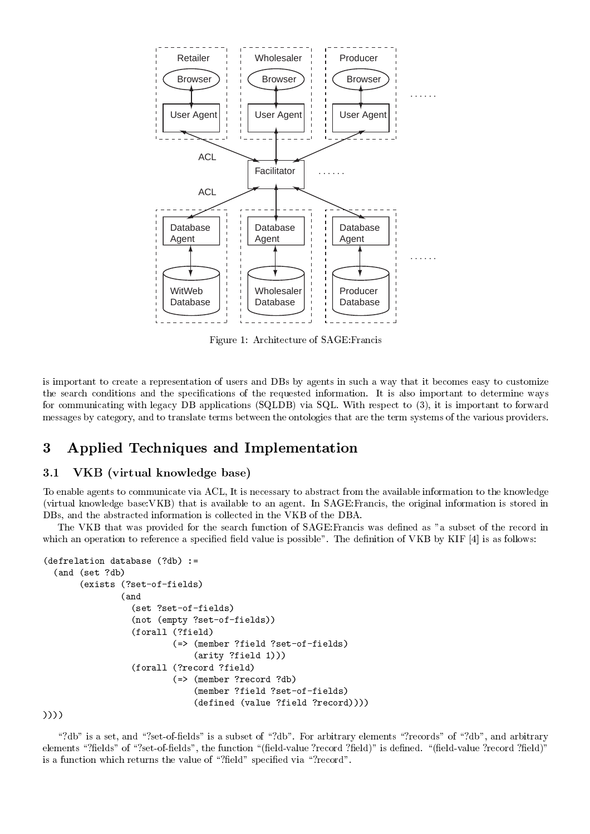

Figure 1: Architecture of SAGE:Francis

 -  --  - +, - -   9 -- - 2-  --  -  -  $\mathbf{A}$  , and  $\mathbf{A}$  , and  $\mathbf{A}$  , and  $\mathbf{A}$  , and  $\mathbf{A}$  , and  $\mathbf{A}$  , and  $\mathbf{A}$  , and  $\mathbf{A}$  $\mathbf{A}$  and  $\mathbf{A}$  and  $\mathbf{A}$  and  $\mathbf{A}$  are  $\mathbf{A}$  and  $\mathbf{A}$  and  $\mathbf{A}$  are  $\mathbf{A}$ 

# -

#### 3.1

 - -  - "#\$ -   --  
- (virtual knowledge base:VKB) that is available to an agent. In  $SAGE: Francis$ , the original information is stored in  $\mathbf{I}_{\text{max}}$  , and the set of the set of the set of the set of the set of the set of the set of the set of the set of the set of the set of the set of the set of the set of the set of the set of the set of the set of the

The VKB that was provided for the search function of SAGE:Francis was defined as "a subset of the record in . The contract of the contract of the contract of the contract of the contract of the contract of the contract of the contract of the contract of the contract of the contract of the contract of the contract of the contrac

```
-

 -

 -
 
   (and (set ?db)----

 -
                    
          \blacksquare(and- London and the state of the state of the state of the state of the state of the state of the state of the state of the state of the state of the state of the state of the state of the state of the state of the state of t
                         \blacksquare

	-

 	-

                                       	-

	-

                                          	 	-

-
 	-
                                                          \mathcal{L} . The contract of the contract of the contract of the contract of the contract of the contract of the contract of the contract of the contract of the contract of the contract of the contract of the contract of th
                                       
-
 -

                                           	-

	-

                                          -
	-
  	-

-

)))
```
:B< - :B 002 <  :B< 1 - :B <  :B< - - :B2 <  :B 002 < -- :20 B B2 < 2- :20 B B2 < -- -  :B2< 2 :B<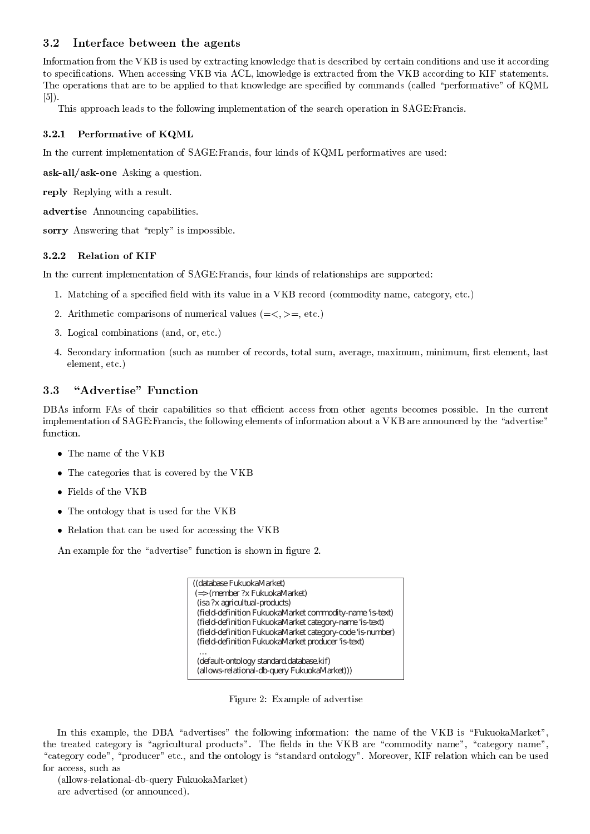### 3.2 Interface between the agents

--  ;@, - 
- - -- - -  2- - - ;@, "#\$ 
-  ;@, -  @1 - -   
- 2 - :<  @?-\$  $[5]$ ).

This approach leads to the following implementation of the search operation in SAGE: Francis.

### $\sim$  ... I clientified to be in quality

In the current implementation of  $SAGE: Francis$ , four kinds of  $KQML$  performatives are used:

- " 
- -

 7- 

 "---- 

- "- - :<  

### $\cdots$   $\cdots$   $\cdots$   $\cdots$   $\cdots$   $\cdots$   $\cdots$   $\cdots$   $\cdots$   $\cdots$   $\cdots$   $\cdots$   $\cdots$   $\cdots$   $\cdots$   $\cdots$   $\cdots$   $\cdots$   $\cdots$   $\cdots$   $\cdots$   $\cdots$   $\cdots$   $\cdots$   $\cdots$   $\cdots$   $\cdots$   $\cdots$   $\cdots$   $\cdots$   $\cdots$   $\cdots$   $\cdots$   $\cdots$   $\cdots$   $\cdots$   $\cdots$

In the current implementation of  $SAGE:$  Francis, four kinds of relationships are supported:

- $\mathcal{P}$  . The contract of the contract of the contract of the contract of the contract of the contract of the contract of the contract of the contract of the contract of the contract of the contract of the contract of th
- $\blacksquare$ . The definition comparisons of humoritan (where  $\setminus \setminus \setminus \setminus$
- $\blacksquare$  . The set of the set of the set of the set of the set of the set of the set of the set of the set of the set of the set of the set of the set of the set of the set of the set of the set of the set of the set of the
- A %- --    - 2 -

#### "Advertise" Function  $3.3$

+," - 1"   >-   -   - -  $\,$  implementation of SAGE:Francis, the following elements of information about a VKB are announced by the "advertise"  $\,$ 

- The name of the VKB
- The categories that is covered by the VKB
- $\bullet\,$  Fields of the VKB
- -  ;@,
- 7-  - ;@,

"-  : < -- - - 2 .

((database FukuokaMarket) (=> (member ?x FukuokaMarket) (isa ?x agricultual-products) (field-definition FukuokaMarket commodity-name 'is-text) (field-definition FukuokaMarket category-name 'is-text) (field-definition FukuokaMarket category-code 'is-number) (field-definition FukuokaMarket producer 'is-text) … (default-ontology standard.database.kif) (allows-relational-db-query FukuokaMarket)))

Figure 2: Example of advertise

 $\blacksquare$  . The state of the state of the state of the state of the state of the state of the state of the state of the state of the state of the state of the state of the state of the state of the state of the state of the  :  < 2 - ;@, : -< : -<  $\sim$  . The state is the state of the contracted in the contracted in the state of the state of the state of the state of the state of the state of the state of the state of the state of the state of the state of the state 

 0-00 1

  ---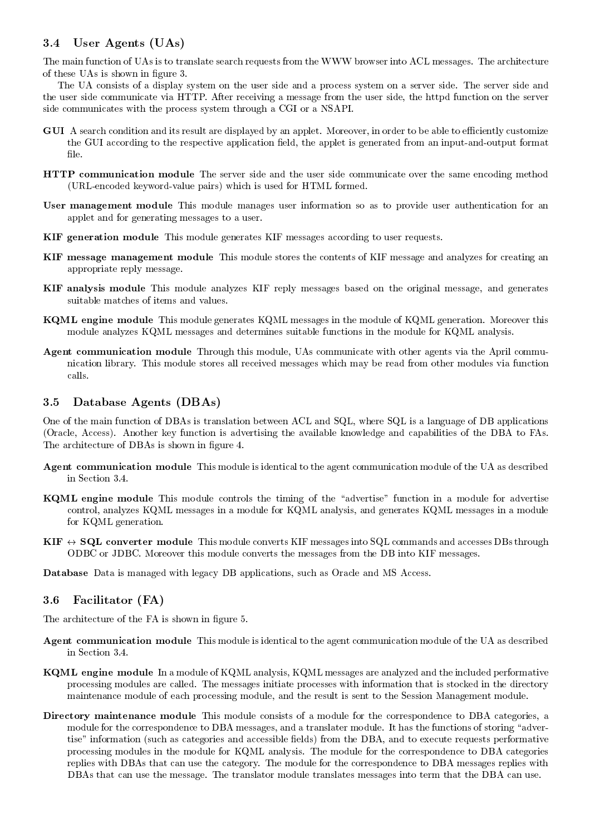### User Agents (UAs) 3.4

The main function of UAs is to translate search requests from the WWW browser into ACL messages. The architecture of these UAs is shown in figure 3.

The UA consists of a display system on the user side and a process system on a server side. The server side and the user side communicate via HTTP. After receiving a message from the user side, the httpd function on the server side communicates with the process system through a CGI or a NSAPI.

- **GUI** A search condition and its result are displayed by an applet. Moreover, in order to be able to efficiently customize the GUI according to the respective application field, the applet is generated from an input-and-output format file.
- **HTTP** communication module The server side and the user side communicate over the same encoding method (URL-encoded keyword-value pairs) which is used for HTML formed.
- **User management module** This module manages user information so as to provide user authentication for an applet and for generating messages to a user.
- KIF generation module This module generates KIF messages according to user requests.
- KIF message management module This module stores the contents of KIF message and analyzes for creating an appropriate reply message.
- KIF analysis module This module analyzes KIF reply messages based on the original message, and generates suitable matches of items and values.
- KQML engine module This module generates KQML messages in the module of KQML generation. Moreover this module analyzes KQML messages and determines suitable functions in the module for KQML analysis.
- Agent communication module Through this module, UAs communicate with other agents via the April communication library. This module stores all received messages which may be read from other modules via function calls.

#### Database Agents (DBAs) 3.5

One of the main function of DBAs is translation between ACL and SQL, where SQL is a language of DB applications (Oracle, Access). Another key function is advertising the available knowledge and capabilities of the DBA to FAs. The architecture of DBAs is shown in figure 4.

- **Agent communication module** This module is identical to the agent communication module of the UA as described in Section 3.4.
- **KQML** engine module This module controls the timing of the "advertise" function in a module for advertise control, analyzes KQML messages in a module for KQML analysis, and generates KQML messages in a module for KQML generation.
- $\text{KIF } \leftrightarrow \text{SQL }$  converter module This module converts KIF messages into SQL commands and accesses DBs through ODBC or JDBC. Moreover this module converts the messages from the DB into KIF messages.

**Database** Data is managed with legacy DB applications, such as Oracle and MS Access.

### 3.6 Facilitator (FA)

The architecture of the FA is shown in figure 5.

- **Agent communication module** This module is identical to the agent communication module of the UA as described in Section 3.4.
- **KQML** engine module In a module of KQML analysis, KQML messages are analyzed and the included performative processing modules are called. The messages initiate processes with information that is stocked in the directory maintenance module of each processing module, and the result is sent to the Session Management module.
- Directory maintenance module This module consists of a module for the correspondence to DBA categories, a module for the correspondence to DBA messages, and a translater module. It has the functions of storing "advertise" information (such as categories and accessible fields) from the DBA, and to execute requests performative processing modules in the module for KQML analysis. The module for the correspondence to DBA categories replies with DBAs that can use the category. The module for the correspondence to DBA messages replies with DBAs that can use the message. The translator module translates messages into term that the DBA can use.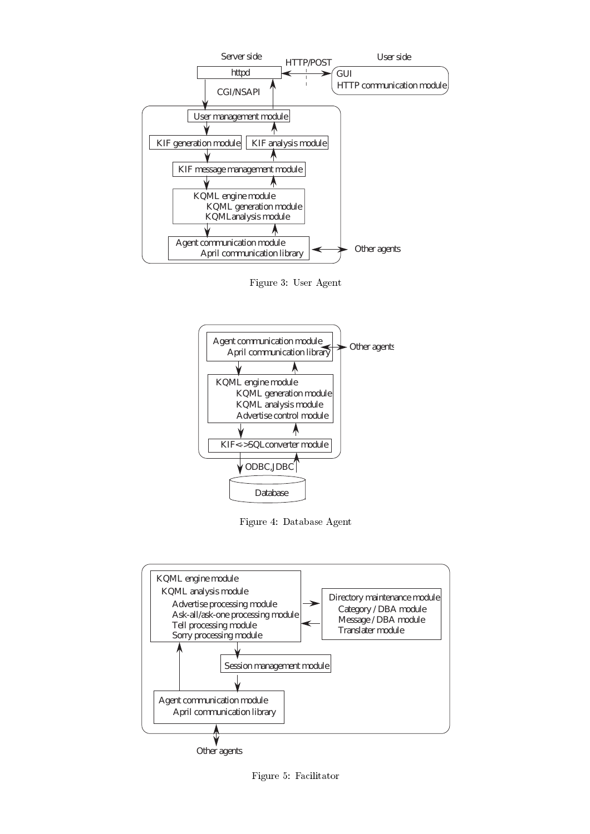

1 /! = "-



1 A! + "-



Figure 5: Facilitator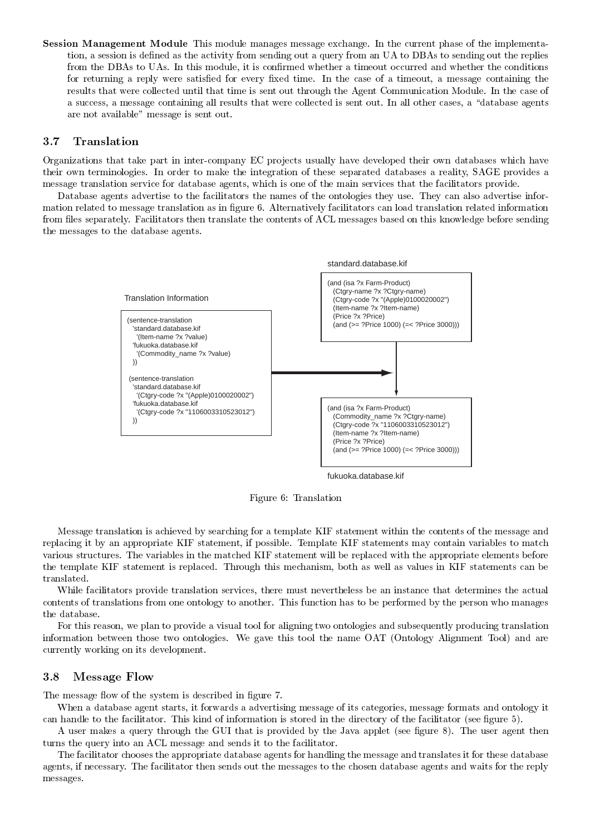$\sim$  corrected information and density into the investigate increased chronomic. In the contracts prime of the impression  $\sim$  $\mathcal{A}$  . The contract of the contract of the contract of the contract of the contract of the contract of the contract of the contract of the contract of the contract of the contract of the contract of the contract of th  +,"  =" -  -2   - --  $\Box$  . The contract of the contract of the contract of the contract of the contract of the contract of the contract of the contract of the contract of the contract of the contract of the contract of the contract of the co  $\blacksquare$  $\mathbf{M}$  . The contract of  $\mathbf{M}$  $\mathbf{A}$ 

### 3.7

Organizations that take part in inter-company EC projects usually have developed their own databases which have their own terminologies. In order to make the integration of these separated databases a reality, SAGE provides a  $\blacksquare$  . The contract of the contract of the contract of the contract of the contract of the contract of the contract of the contract of the contract of the contract of the contract of the contract of the contract of the

 $\blacksquare$  $\mathbf{A}$  $\mathbb{R}$  and  $\mathbb{R}$  . The set of  $\mathbb{R}$   - 



 $1 \cdot$   $1 \cdot$   $1 \cdot$   $1 \cdot$   $1 \cdot$   $1 \cdot$   $1 \cdot$   $1 \cdot$   $1 \cdot$   $1 \cdot$   $1 \cdot$   $1 \cdot$   $1 \cdot$   $1 \cdot$   $1 \cdot$   $1 \cdot$   $1 \cdot$   $1 \cdot$   $1 \cdot$   $1 \cdot$   $1 \cdot$   $1 \cdot$   $1 \cdot$   $1 \cdot$   $1 \cdot$   $1 \cdot$   $1 \cdot$   $1 \cdot$   $1 \cdot$   $1 \cdot$   $1 \cdot$   $1 \cdot$   $1 \cdot$   $1 \cdot$   $1 \cdot$   $1 \cdot$   $1 \cdot$ 

- - - -  @1 - - --  - - -  @1 -  @1 - --   $\mathbb{P}^1$  . The contract of the contract of the contract of the contract of  $\mathbb{P}^1$  . The contract of the contract of the contract of the contract of the contract of the contract of the contract of the contract of the  $\blacksquare$  . The contract of  $\blacksquare$ 

 $\blacksquare$  . The contract of the contract of the contract of the contract of the contract of the contract of the contract of the contract of the contract of the contract of the contract of the contract of the contract of the  $\blacksquare$ the database.

1 - -     --  - - - - - - $\gamma$  . The contract of the contract of the contract of  $\gamma$  . The contract of  $\gamma$  is a complement of  $\gamma$  and  $\gamma$  $-$  -model in the contract of  $\mathbf{A}$  and  $\mathbf{A}$  are contract to the contract of  $\mathbf{A}$ 

#### 3.8  $\bullet$  +  $\bullet$  +  $\bullet$  +  $\bullet$  +  $\bullet$  +  $\bullet$  +  $\bullet$  +  $\bullet$  +  $\bullet$  +  $\bullet$  +  $\bullet$  +  $\bullet$  +  $\bullet$  +  $\bullet$  +  $\bullet$  +  $\bullet$  +  $\bullet$  +  $\bullet$  +  $\bullet$  +  $\bullet$  +  $\bullet$  +  $\bullet$  +  $\bullet$  +  $\bullet$  +  $\bullet$  +  $\bullet$  +  $\bullet$  +  $\bullet$  +  $\bullet$  +  $\bullet$  +  $\bullet$  +  $\bullet$

 $\mathbf{1}$  and  $\mathbf{1}$  and  $\mathbf{1}$  and  $\mathbf{1}$  and  $\mathbf{1}$  and  $\mathbf{1}$  and  $\mathbf{1}$  and  $\mathbf{1}$  and  $\mathbf{1}$  and  $\mathbf{1}$  and  $\mathbf{1}$  and  $\mathbf{1}$  and  $\mathbf{1}$  and  $\mathbf{1}$  and  $\mathbf{1}$  and  $\mathbf{1}$  and  $\mathbf{1}$  and

 $\blacksquare$  . The contract of the contract of the contract of the contract of the contract of the contract of the contract of the contract of the contract of the contract of the contract of the contract of the contract of the - -   
-  --  -    2 C

"  &=  G 2 K - -- - - "#\$ - -  

    -  -- - -   $\Box$  . The contract of  $\Box$  is the contract of  $\Box$  . The contract of  $\Box$  is the contract of  $\Box$ messages.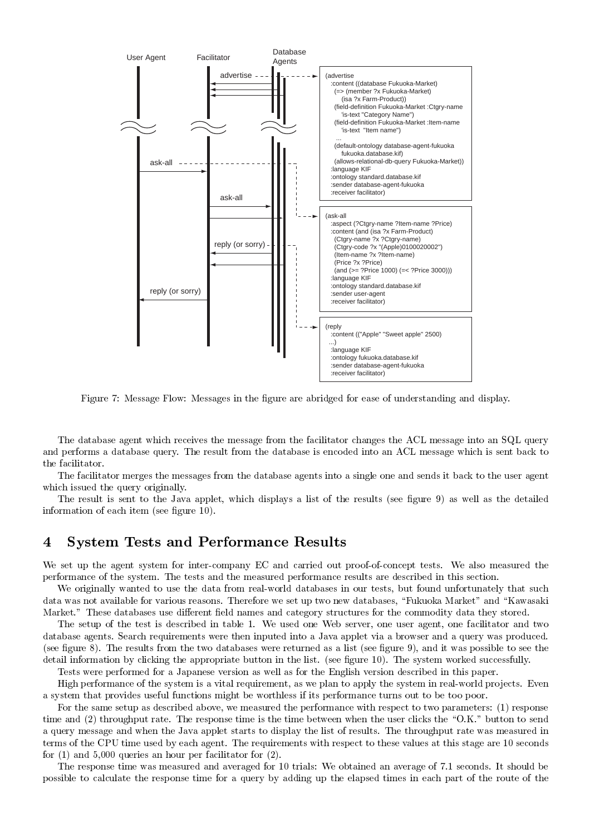

 $\mathbf{1}$ 

 -   - "#\$ - - %?\$ -   - - - "#\$ 
  the facilitator.

 $\mathbf{A}$ -definition of the state  $\mathbf{u}$  and  $\mathbf{u}$  and  $\mathbf{u}$  and  $\mathbf{u}$  and  $\mathbf{u}$  and  $\mathbf{u}$ 

 -  G  2 L --  2 )M

## !

We set up the agent system for inter-company EC and carried out proof-of-concept tests. We also measured the -  - - - -

 - -   0 -  - -- -   -   - :1

 < - :@ < - 2 - -    

 $\blacksquare$  . The contract of the contract of the contract of  $\blacksquare$  $\blacksquare$  . The set of the set of the set of the set of the set of the set of the set of the set of the set of the set of the set of the set of the set of the set of the set of the set of the set of the set of the set of the  $\mathbf{A}$  and  $\mathbf{A}$  and  $\mathbf{A}$  and  $\mathbf{A}$  and  $\mathbf{A}$  and  $\mathbf{A}$  and  $\mathbf{A}$  and  $\mathbf{A}$  and  $\mathbf{A}$  and  $\mathbf{A}$  and  $\mathbf{A}$  and  $\mathbf{A}$  and  $\mathbf{A}$  and  $\mathbf{A}$  and  $\mathbf{A}$  and  $\mathbf{A}$  and  $\mathbf{A}$  and  $\mathbb{R}^2$  and  $\mathbb{R}^2$  . The contract of the contract of the contract of the contract of the contract of the contract of the contract of the contract of the contract of the contract of the contract of the contract of t

Tests were performed for a Japanese version as well as for the English version described in this paper. High performance of the system is a vital requirement, as we plan to apply the system in real-world projects. Even

  --  - -    

1  -   ! ) -  $\mathbf{A}$  and  $\mathbf{A}$  and  $\mathbf{A}$  and  $\mathbf{A}$  are  $\mathbf{A}$  . The contract of  $\mathbf{A}$  and  $\mathbf{A}$  are  $\mathbf{A}$  and  $\mathbf{A}$  and  $\mathbf{A}$  are  $\mathbf{A}$  and  $\mathbf{A}$  are  $\mathbf{A}$  and  $\mathbf{A}$  are  $\mathbf{A}$  and  $\mathbf{A}$  are  $\blacksquare$  . The contract of the contract of the contract of the contract of the contract of the contract of the contract of the contract of the contract of the contract of the contract of the contract of the contract of the  $\mathbf{A} = \mathbf{A} \mathbf{A}$  , and a set of  $\mathbf{A}$  , and  $\mathbf{A}$  is the set of  $\mathbf{A}$  $\blacksquare$  . The contract of the contract of the contract of the contract of the contract of the contract of the contract of the contract of the contract of the contract of the contract of the contract of the contract of the

 $\mathbf{M}$  . The set of the set of the set of the set of the set of the set of the set of the set of the set of the set of the set of the set of the set of the set of the set of the set of the set of the set of the set of t   -  - -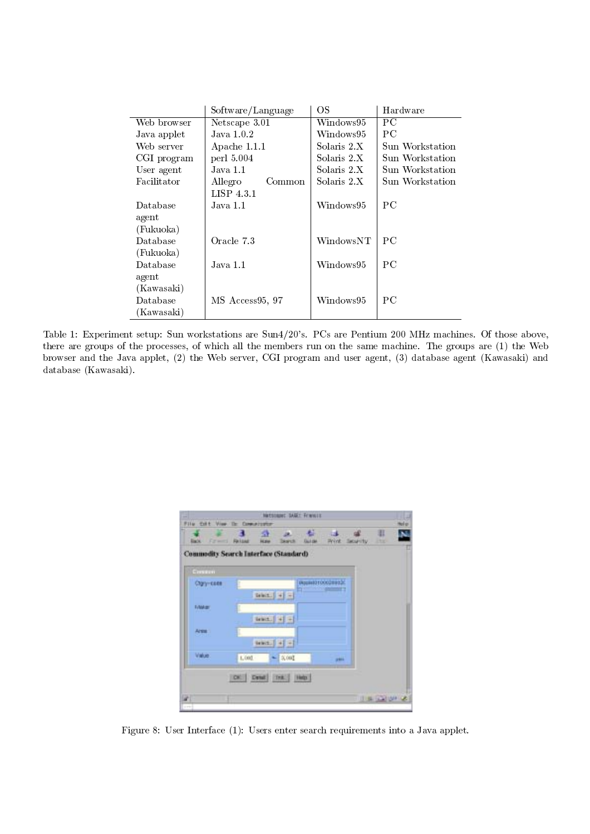|             | Software/Language | OS          | Hardware        |  |
|-------------|-------------------|-------------|-----------------|--|
| Web browser | Netscape 3.01     | Windows95   | PС              |  |
| Java applet | Java 1.0.2        | Windows95   | PС              |  |
| Web server  | Apache 1.1.1      | Solaris 2.X | Sun Workstation |  |
| CGI program | perl 5.004        | Solaris 2.X | Sun Workstation |  |
| User agent  | Java 1.1          | Solaris 2.X | Sun Workstation |  |
| Facilitator | Allegro<br>Common | Solaris 2.X | Sun Workstation |  |
|             | LISP 4.3.1        |             |                 |  |
| Database    | Java 1.1          | Windows95   | P <sub>C</sub>  |  |
| agent       |                   |             |                 |  |
| (Fukuoka)   |                   |             |                 |  |
| Database    | Oracle 7.3        | WindowsNT   | PС              |  |
| (Fukuoka)   |                   |             |                 |  |
| Database    | Java 1.1          | Windows95   | PС              |  |
| agent       |                   |             |                 |  |
| (Kawasaki)  |                   |             |                 |  |
| Database    | MS Access95, 97   | Windows95   | PC.             |  |
| (Kawasaki)  |                   |             |                 |  |

Table 1: Experiment setup: Sun workstations are Sun4/20's. PCs are Pentium 200 MHz machines. Of those above, there are groups of the processes, of which all the members run on the same machine. The groups are (1) the Web browser and the Java applet, (2) the Web server, CGI program and user agent, (3) database agent (Kawasaki) and database (Kawasaki).

 $\overline{a}$ 

|            | Commodity Search Interface (Standard)              |                                      |  |
|------------|----------------------------------------------------|--------------------------------------|--|
| Common     |                                                    |                                      |  |
| Cign-cost  |                                                    | PAppikel0100008932C<br><b>MODELL</b> |  |
|            | Drivit. $\left \frac{1}{2} + \frac{1}{2}\right  =$ |                                      |  |
| <b>NM#</b> |                                                    |                                      |  |
|            | West.   +  +                                       |                                      |  |
| Area :     |                                                    |                                      |  |
|            | 94901. 4 +1                                        |                                      |  |
| Vaker.     | 1,000<br>$-3.001$                                  | pai.                                 |  |

Figure 8: User Interface (1): Users enter search requirements into a Java applet.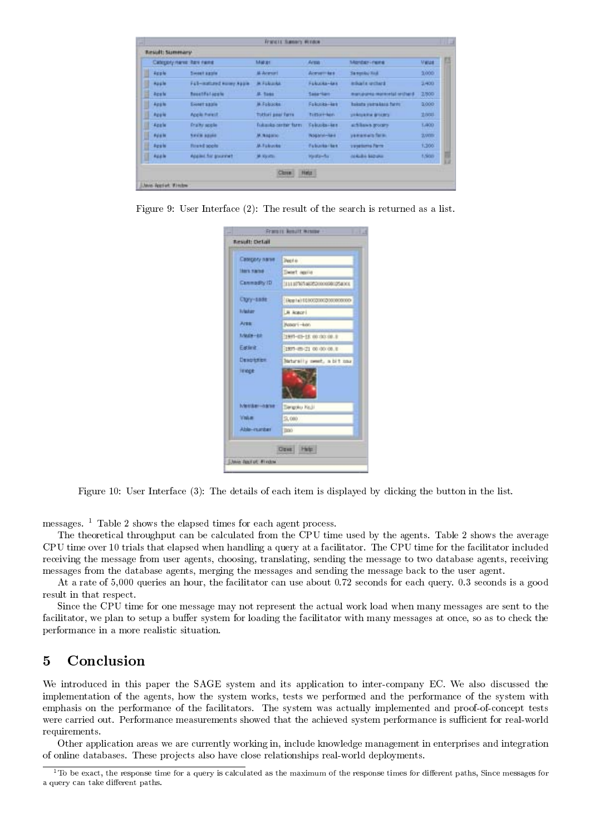|   | Cabisphy name: Ren name |                            | Material             | Arms:              | Montact-rains:                      | <b>Vieue</b> |
|---|-------------------------|----------------------------|----------------------|--------------------|-------------------------------------|--------------|
| I | <b>Apple</b>            | Sweet aggie                | <b>M. Acessed</b>    | Acevember          | Sa meniku Kidi.                     | 3,000        |
| I | <b>Aug le</b>           | Fall-mattered nower Apple. | <b>JA FURLINA</b>    | Fakulta-tex        | <b>Individual and Star &amp;</b>    | 3,400        |
| E | Apste                   | <b>Resetiful apple</b>     | <b>JA TANK</b>       | Sake Hart          | marksparea resistants arrow outside | 2800         |
| U | Apple                   | Sionet akale               | M-Foldclott          | Fakold-ket         | hakata yamakata farm:               | 1,000        |
| I | Apple                   | Acela Forest               | Tottori pear farra   | Tottort-New        | shidowed that defecters.            | 2,000        |
| U | Apale                   | <b>Profity scole</b>       | Tokaska certar farm. | Teknobs-ken        | achilaws groupy.                    | 6,400        |
| Ü | <b>Rúsie</b>            | <b>Savine agusts</b>       | м. в щать            | Nophrat-Bake       | yamamais farm.                      | 2,000        |
| B | Apple                   | <b>Rivered apple:</b>      | <b>JA Falcoste</b>   | <b>Tuburbarbak</b> | <b>Tirollims farm</b>               | 1,300        |
| U | Apple                   | Applied for government     | M. Kirstein          | Waste-fur.         | <b>NIAMA SECURE</b>                 | <b>t.Sop</b> |

Figure 9: User Interface  $(2)$ : The result of the search is returned as a list.

| Своердиу пагне             | Deed is                        |
|----------------------------|--------------------------------|
| <b>INTERACTOR</b>          | Detect Agaila                  |
| Connadty (D)               | 11111076746050000080054001     |
| Clgry-sade:                | [Reg Ha] 01/000200020000000000 |
| <b>Tuladar</b>             | <b>B Acatcri</b>               |
| Area:                      | Assort-key                     |
| t/Mds-82                   | 1991-03-15 00:00:00.0          |
| Eastest:                   | 1907-09-21 00:00:00.0          |
| Deaptries                  | Naturally peer, a bit xxx      |
| <b>Tif</b> voge:           |                                |
| Wester-aane                | Tangoku Ko, II                 |
| Value                      | 9,000                          |
| Able-market                | <b>DOO</b>                     |
| <b>John Real of Findex</b> | Ozez Help                      |

Figure 10: User Interface (3): The details of each item is displayed by clicking the button in the list.

messages.  $1$  Table 2 shows the elapsed times for each agent process.

The theoretical throughput can be calculated from the CPU time used by the agents. Table 2 shows the average CPU time over 10 trials that elapsed when handling a query at a facilitator. The CPU time for the facilitator included receiving the message from user agents, choosing, translating, sending the message to two database agents, receiving messages from the database agents, merging the messages and sending the message back to the user agent.

At a rate of 5,000 queries an hour, the facilitator can use about 0.72 seconds for each query, 0.3 seconds is a good result in that respect.

Since the CPU time for one message may not represent the actual work load when many messages are sent to the facilitator, we plan to setup a buffer system for loading the facilitator with many messages at once, so as to check the performance in a more realistic situation.

### $\overline{5}$ Conclusion

We introduced in this paper the SAGE system and its application to inter-company EC. We also discussed the implementation of the agents, how the system works, tests we performed and the performance of the system with emphasis on the performance of the facilitators. The system was actually implemented and proof-of-concept tests were carried out. Performance measurements showed that the achieved system performance is sufficient for real-world requirements.

Other application areas we are currently working in, include knowledge management in enterprises and integration of online databases. These projects also have close relationships real-world deployments.

 $^1$ To be exact, the response time for a query is calculated as the maximum of the response times for different paths, Since messages for a query can take different paths.